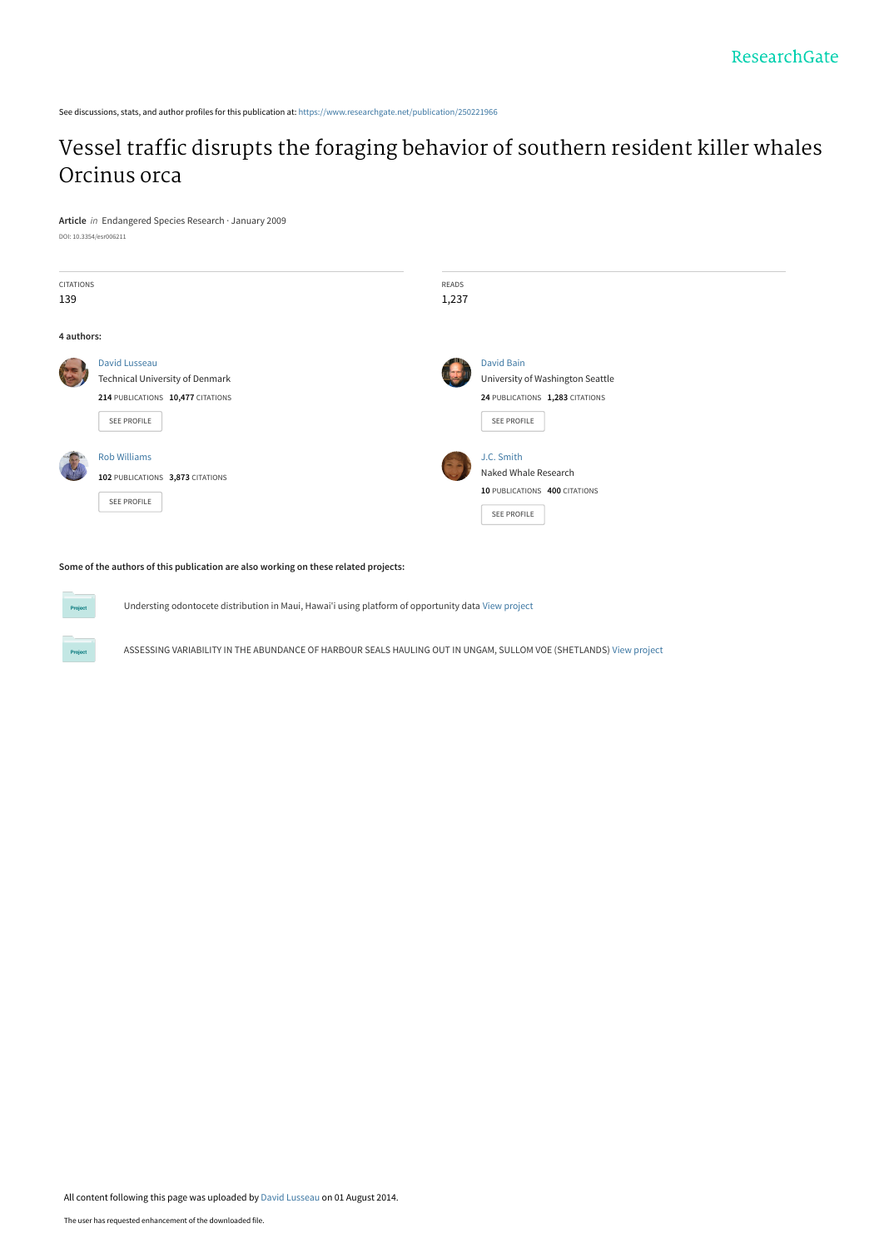See discussions, stats, and author profiles for this publication at: [https://www.researchgate.net/publication/250221966](https://www.researchgate.net/publication/250221966_Vessel_traffic_disrupts_the_foraging_behavior_of_southern_resident_killer_whales_Orcinus_orca?enrichId=rgreq-83db0d832992ba985f1028adf5f1dd63-XXX&enrichSource=Y292ZXJQYWdlOzI1MDIyMTk2NjtBUzoxMjUzMjA3NDUxOTc1NzNAMTQwNjg5MDIwMjQ1Ng%3D%3D&el=1_x_2&_esc=publicationCoverPdf)

# [Vessel traffic disrupts the foraging behavior of southern resident killer whales](https://www.researchgate.net/publication/250221966_Vessel_traffic_disrupts_the_foraging_behavior_of_southern_resident_killer_whales_Orcinus_orca?enrichId=rgreq-83db0d832992ba985f1028adf5f1dd63-XXX&enrichSource=Y292ZXJQYWdlOzI1MDIyMTk2NjtBUzoxMjUzMjA3NDUxOTc1NzNAMTQwNjg5MDIwMjQ1Ng%3D%3D&el=1_x_3&_esc=publicationCoverPdf) Orcinus orca

**Article** in Endangered Species Research · January 2009 DOI: 10.3354/esr006211

| CITATIONS<br>139 |                                                                                                             | READS<br>1,237 |                                                                                                         |  |
|------------------|-------------------------------------------------------------------------------------------------------------|----------------|---------------------------------------------------------------------------------------------------------|--|
| 4 authors:       |                                                                                                             |                |                                                                                                         |  |
|                  | David Lusseau<br><b>Technical University of Denmark</b><br>214 PUBLICATIONS 10,477 CITATIONS<br>SEE PROFILE |                | <b>David Bain</b><br>University of Washington Seattle<br>24 PUBLICATIONS 1,283 CITATIONS<br>SEE PROFILE |  |
|                  | <b>Rob Williams</b><br>102 PUBLICATIONS 3,873 CITATIONS<br>SEE PROFILE                                      |                | J.C. Smith<br>Naked Whale Research<br>10 PUBLICATIONS 400 CITATIONS<br><b>SEE PROFILE</b>               |  |

**Some of the authors of this publication are also working on these related projects:**

**Project** 

Understing odontocete distribution in Maui, Hawai'i using platform of opportunity data [View project](https://www.researchgate.net/project/Understing-odontocete-distribution-in-Maui-Hawaii-using-platform-of-opportunity-data?enrichId=rgreq-83db0d832992ba985f1028adf5f1dd63-XXX&enrichSource=Y292ZXJQYWdlOzI1MDIyMTk2NjtBUzoxMjUzMjA3NDUxOTc1NzNAMTQwNjg5MDIwMjQ1Ng%3D%3D&el=1_x_9&_esc=publicationCoverPdf)

ASSESSING VARIABILITY IN THE ABUNDANCE OF HARBOUR SEALS HAULING OUT IN UNGAM, SULLOM VOE (SHETLANDS) [View project](https://www.researchgate.net/project/ASSESSING-VARIABILITY-IN-THE-ABUNDANCE-OF-HARBOUR-SEALS-HAULING-OUT-IN-UNGAM-SULLOM-VOE-SHETLANDS?enrichId=rgreq-83db0d832992ba985f1028adf5f1dd63-XXX&enrichSource=Y292ZXJQYWdlOzI1MDIyMTk2NjtBUzoxMjUzMjA3NDUxOTc1NzNAMTQwNjg5MDIwMjQ1Ng%3D%3D&el=1_x_9&_esc=publicationCoverPdf)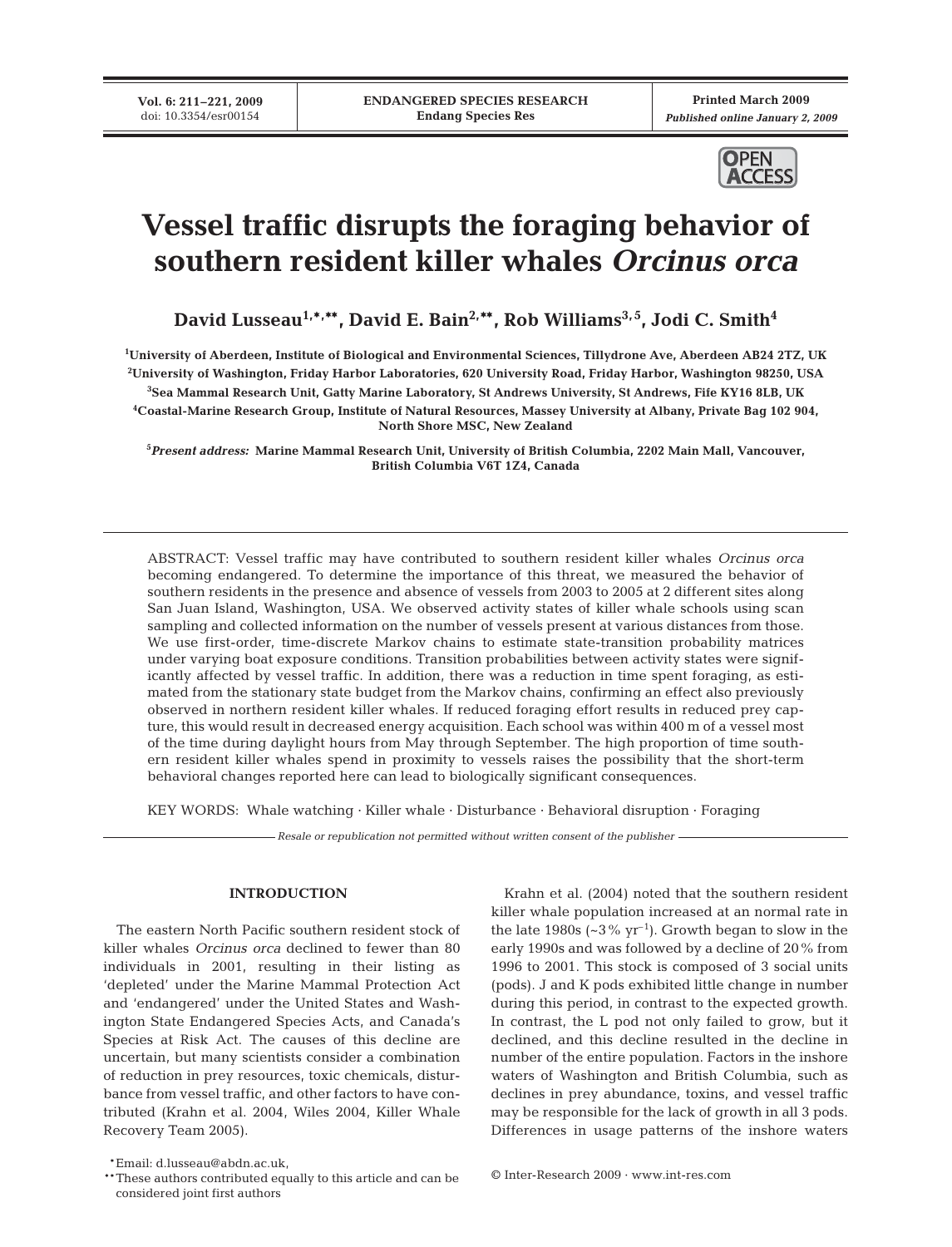**Vol. 6: 211–221, 2009** doi: 10.3354/esr00154

**Printed March 2009** *Published online January 2, 2009*



# **Vessel traffic disrupts the foraging behavior of southern resident killer whales** *Orcinus orca*

David Lusseau<sup>1,</sup>\*,\*\*, David E. Bain<sup>2,</sup>\*\*, Rob Williams<sup>3,5</sup>, Jodi C. Smith<sup>4</sup>

 **University of Aberdeen, Institute of Biological and Environmental Sciences, Tillydrone Ave, Aberdeen AB24 2TZ, UK University of Washington, Friday Harbor Laboratories, 620 University Road, Friday Harbor, Washington 98250, USA Sea Mammal Research Unit, Gatty Marine Laboratory, St Andrews University, St Andrews, Fife KY16 8LB, UK Coastal-Marine Research Group, Institute of Natural Resources, Massey University at Albany, Private Bag 102 904, North Shore MSC, New Zealand**

**5** *Present address:* **Marine Mammal Research Unit, University of British Columbia, 2202 Main Mall, Vancouver, British Columbia V6T 1Z4, Canada**

ABSTRACT: Vessel traffic may have contributed to southern resident killer whales *Orcinus orca* becoming endangered. To determine the importance of this threat, we measured the behavior of southern residents in the presence and absence of vessels from 2003 to 2005 at 2 different sites along San Juan Island, Washington, USA. We observed activity states of killer whale schools using scan sampling and collected information on the number of vessels present at various distances from those. We use first-order, time-discrete Markov chains to estimate state-transition probability matrices under varying boat exposure conditions. Transition probabilities between activity states were significantly affected by vessel traffic. In addition, there was a reduction in time spent foraging, as estimated from the stationary state budget from the Markov chains, confirming an effect also previously observed in northern resident killer whales. If reduced foraging effort results in reduced prey capture, this would result in decreased energy acquisition. Each school was within 400 m of a vessel most of the time during daylight hours from May through September. The high proportion of time southern resident killer whales spend in proximity to vessels raises the possibility that the short-term behavioral changes reported here can lead to biologically significant consequences.

KEY WORDS: Whale watching · Killer whale · Disturbance · Behavioral disruption · Foraging

*Resale or republication not permitted without written consent of the publisher*

# **INTRODUCTION**

The eastern North Pacific southern resident stock of killer whales *Orcinus orca* declined to fewer than 80 individuals in 2001, resulting in their listing as 'depleted' under the Marine Mammal Protection Act and 'endangered' under the United States and Washington State Endangered Species Acts, and Canada's Species at Risk Act. The causes of this decline are uncertain, but many scientists consider a combination of reduction in prey resources, toxic chemicals, disturbance from vessel traffic, and other factors to have contributed (Krahn et al. 2004, Wiles 2004, Killer Whale Recovery Team 2005).

Krahn et al. (2004) noted that the southern resident killer whale population increased at an normal rate in the late 1980s ( $\sim$ 3% yr<sup>-1</sup>). Growth began to slow in the early 1990s and was followed by a decline of 20% from 1996 to 2001. This stock is composed of 3 social units (pods). J and K pods exhibited little change in number during this period, in contrast to the expected growth. In contrast, the L pod not only failed to grow, but it declined, and this decline resulted in the decline in number of the entire population. Factors in the inshore waters of Washington and British Columbia, such as declines in prey abundance, toxins, and vessel traffic may be responsible for the lack of growth in all 3 pods. Differences in usage patterns of the inshore waters

<sup>©</sup> Inter-Research 2009 · www.int-res.com \*\*Email: d.lusseau@abdn.ac.uk, \*\*These authors contributed equally to this article and can be considered joint first authors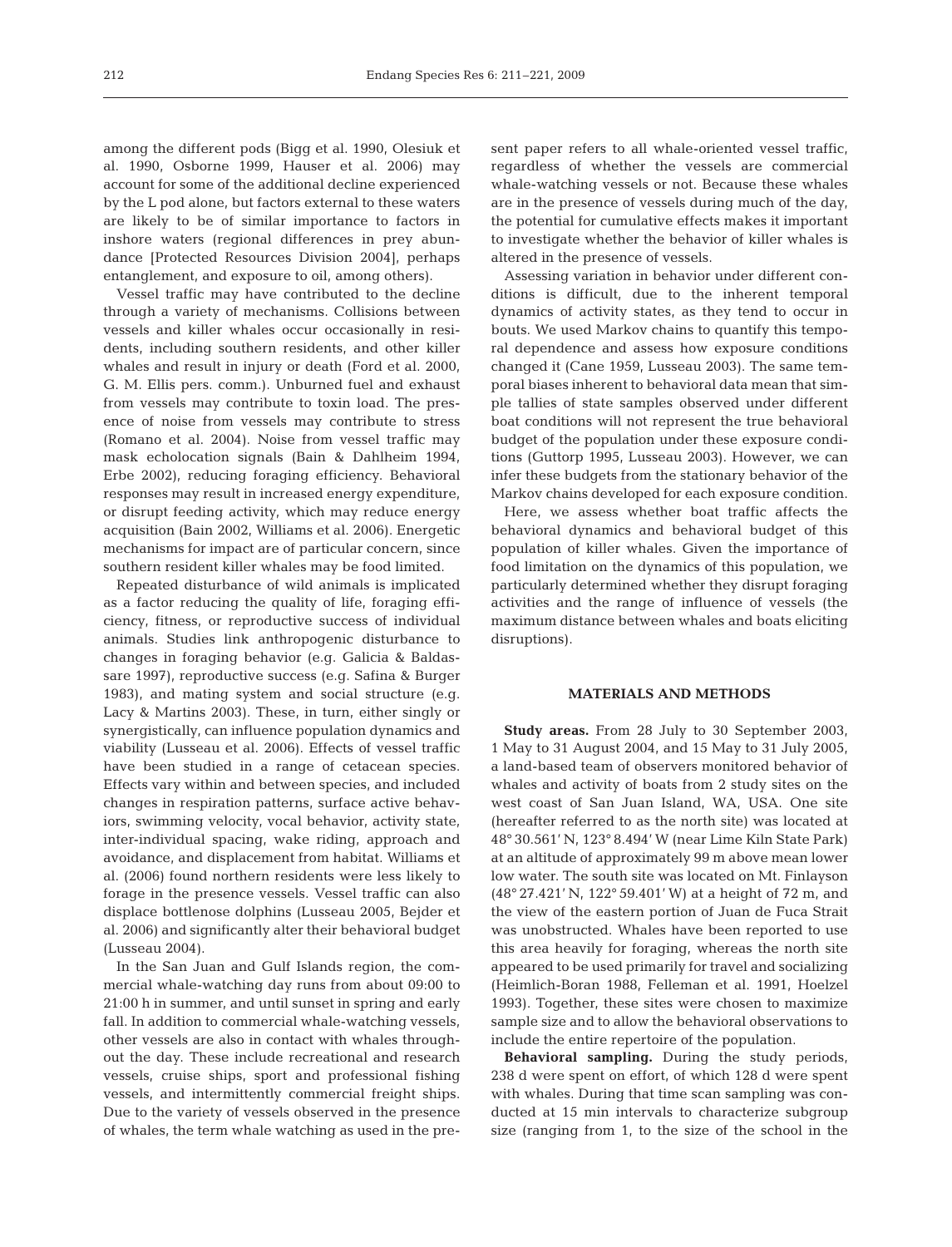among the different pods (Bigg et al. 1990, Olesiuk et al. 1990, Osborne 1999, Hauser et al. 2006) may account for some of the additional decline experienced by the L pod alone, but factors external to these waters are likely to be of similar importance to factors in inshore waters (regional differences in prey abundance [Protected Resources Division 2004], perhaps entanglement, and exposure to oil, among others).

Vessel traffic may have contributed to the decline through a variety of mechanisms. Collisions between vessels and killer whales occur occasionally in residents, including southern residents, and other killer whales and result in injury or death (Ford et al. 2000, G. M. Ellis pers. comm.). Unburned fuel and exhaust from vessels may contribute to toxin load. The presence of noise from vessels may contribute to stress (Romano et al. 2004). Noise from vessel traffic may mask echolocation signals (Bain & Dahlheim 1994, Erbe 2002), reducing foraging efficiency. Behavioral responses may result in increased energy expenditure, or disrupt feeding activity, which may reduce energy acquisition (Bain 2002, Williams et al. 2006). Energetic mechanisms for impact are of particular concern, since southern resident killer whales may be food limited.

Repeated disturbance of wild animals is implicated as a factor reducing the quality of life, foraging efficiency, fitness, or reproductive success of individual animals. Studies link anthropogenic disturbance to changes in foraging behavior (e.g. Galicia & Baldassare 1997), reproductive success (e.g. Safina & Burger 1983), and mating system and social structure (e.g. Lacy & Martins 2003). These, in turn, either singly or synergistically, can influence population dynamics and viability (Lusseau et al. 2006). Effects of vessel traffic have been studied in a range of cetacean species. Effects vary within and between species, and included changes in respiration patterns, surface active behaviors, swimming velocity, vocal behavior, activity state, inter-individual spacing, wake riding, approach and avoidance, and displacement from habitat. Williams et al. (2006) found northern residents were less likely to forage in the presence vessels. Vessel traffic can also displace bottlenose dolphins (Lusseau 2005, Bejder et al. 2006) and significantly alter their behavioral budget (Lusseau 2004).

In the San Juan and Gulf Islands region, the commercial whale-watching day runs from about 09:00 to 21:00 h in summer, and until sunset in spring and early fall. In addition to commercial whale-watching vessels, other vessels are also in contact with whales throughout the day. These include recreational and research vessels, cruise ships, sport and professional fishing vessels, and intermittently commercial freight ships. Due to the variety of vessels observed in the presence of whales, the term whale watching as used in the present paper refers to all whale-oriented vessel traffic, regardless of whether the vessels are commercial whale-watching vessels or not. Because these whales are in the presence of vessels during much of the day, the potential for cumulative effects makes it important to investigate whether the behavior of killer whales is altered in the presence of vessels.

Assessing variation in behavior under different conditions is difficult, due to the inherent temporal dynamics of activity states, as they tend to occur in bouts. We used Markov chains to quantify this temporal dependence and assess how exposure conditions changed it (Cane 1959, Lusseau 2003). The same temporal biases inherent to behavioral data mean that simple tallies of state samples observed under different boat conditions will not represent the true behavioral budget of the population under these exposure conditions (Guttorp 1995, Lusseau 2003). However, we can infer these budgets from the stationary behavior of the Markov chains developed for each exposure condition.

Here, we assess whether boat traffic affects the behavioral dynamics and behavioral budget of this population of killer whales. Given the importance of food limitation on the dynamics of this population, we particularly determined whether they disrupt foraging activities and the range of influence of vessels (the maximum distance between whales and boats eliciting disruptions).

## **MATERIALS AND METHODS**

**Study areas.** From 28 July to 30 September 2003, 1 May to 31 August 2004, and 15 May to 31 July 2005, a land-based team of observers monitored behavior of whales and activity of boats from 2 study sites on the west coast of San Juan Island, WA, USA. One site (hereafter referred to as the north site) was located at 48° 30.561' N, 123° 8.494' W (near Lime Kiln State Park) at an altitude of approximately 99 m above mean lower low water. The south site was located on Mt. Finlayson (48° 27.421' N, 122° 59.401' W) at a height of 72 m, and the view of the eastern portion of Juan de Fuca Strait was unobstructed. Whales have been reported to use this area heavily for foraging, whereas the north site appeared to be used primarily for travel and socializing (Heimlich-Boran 1988, Felleman et al. 1991, Hoelzel 1993). Together, these sites were chosen to maximize sample size and to allow the behavioral observations to include the entire repertoire of the population.

**Behavioral sampling.** During the study periods, 238 d were spent on effort, of which 128 d were spent with whales. During that time scan sampling was conducted at 15 min intervals to characterize subgroup size (ranging from 1, to the size of the school in the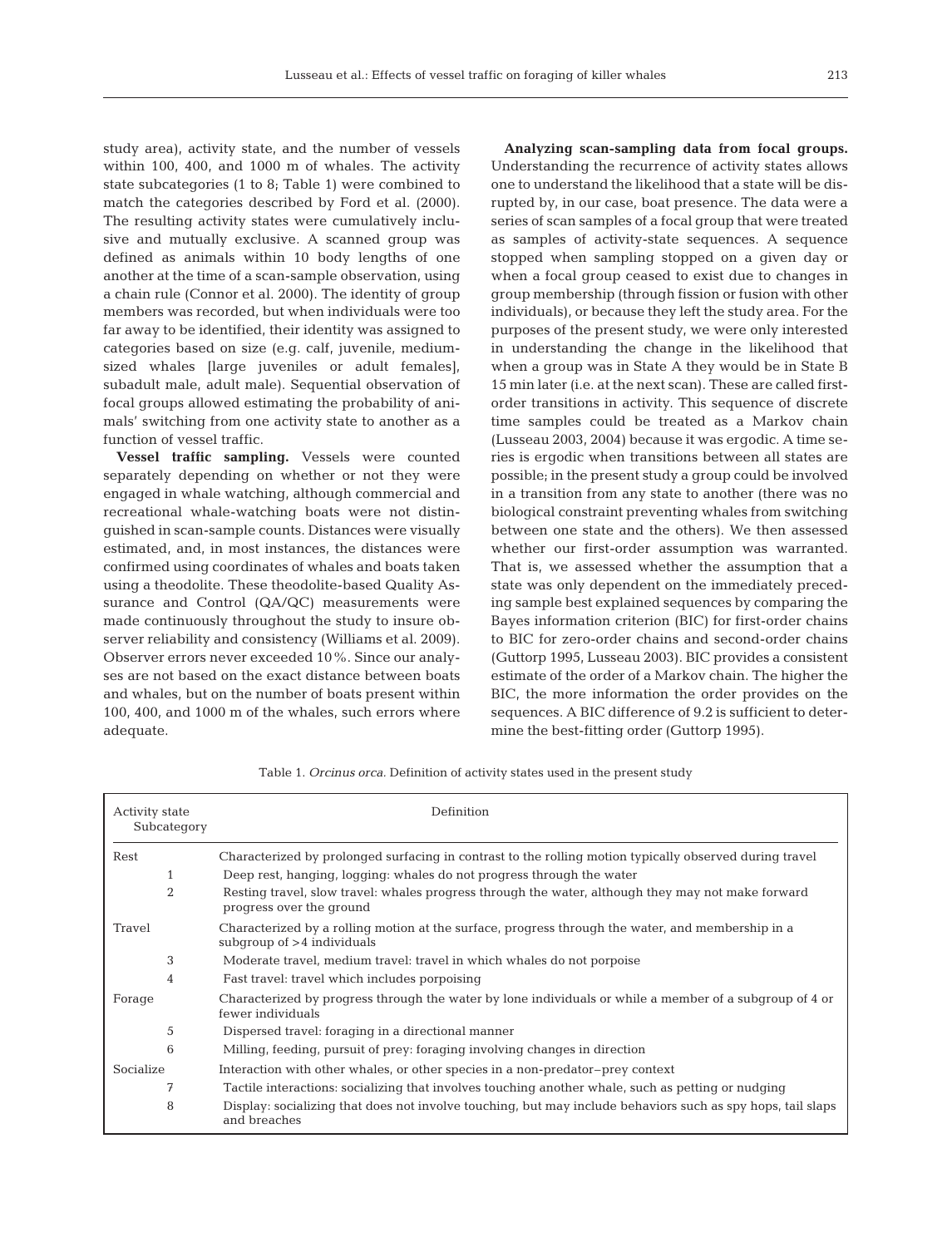study area), activity state, and the number of vessels within 100, 400, and 1000 m of whales. The activity state subcategories (1 to 8; Table 1) were combined to match the categories described by Ford et al. (2000). The resulting activity states were cumulatively inclusive and mutually exclusive. A scanned group was defined as animals within 10 body lengths of one another at the time of a scan-sample observation, using a chain rule (Connor et al. 2000). The identity of group members was recorded, but when individuals were too far away to be identified, their identity was assigned to categories based on size (e.g. calf, juvenile, mediumsized whales [large juveniles or adult females], subadult male, adult male). Sequential observation of focal groups allowed estimating the probability of animals' switching from one activity state to another as a function of vessel traffic.

**Vessel traffic sampling.** Vessels were counted separately depending on whether or not they were engaged in whale watching, although commercial and recreational whale-watching boats were not distinguished in scan-sample counts. Distances were visually estimated, and, in most instances, the distances were confirmed using coordinates of whales and boats taken using a theodolite. These theodolite-based Quality Assurance and Control (QA/QC) measurements were made continuously throughout the study to insure observer reliability and consistency (Williams et al. 2009). Observer errors never exceeded 10%. Since our analyses are not based on the exact distance between boats and whales, but on the number of boats present within 100, 400, and 1000 m of the whales, such errors where adequate.

**Analyzing scan-sampling data from focal groups.** Understanding the recurrence of activity states allows one to understand the likelihood that a state will be disrupted by, in our case, boat presence. The data were a series of scan samples of a focal group that were treated as samples of activity-state sequences. A sequence stopped when sampling stopped on a given day or when a focal group ceased to exist due to changes in group membership (through fission or fusion with other individuals), or because they left the study area. For the purposes of the present study, we were only interested in understanding the change in the likelihood that when a group was in State A they would be in State B 15 min later (i.e. at the next scan). These are called firstorder transitions in activity. This sequence of discrete time samples could be treated as a Markov chain (Lusseau 2003, 2004) because it was ergodic. A time series is ergodic when transitions between all states are possible; in the present study a group could be involved in a transition from any state to another (there was no biological constraint preventing whales from switching between one state and the others). We then assessed whether our first-order assumption was warranted. That is, we assessed whether the assumption that a state was only dependent on the immediately preceding sample best explained sequences by comparing the Bayes information criterion (BIC) for first-order chains to BIC for zero-order chains and second-order chains (Guttorp 1995, Lusseau 2003). BIC provides a consistent estimate of the order of a Markov chain. The higher the BIC, the more information the order provides on the sequences. A BIC difference of 9.2 is sufficient to determine the best-fitting order (Guttorp 1995).

| <b>Activity state</b><br>Subcategory | Definition                                                                                                                        |  |  |  |  |
|--------------------------------------|-----------------------------------------------------------------------------------------------------------------------------------|--|--|--|--|
| Rest                                 | Characterized by prolonged surfacing in contrast to the rolling motion typically observed during travel                           |  |  |  |  |
| $\mathbf{1}$                         | Deep rest, hanging, logging: whales do not progress through the water                                                             |  |  |  |  |
| $\overline{2}$                       | Resting travel, slow travel: whales progress through the water, although they may not make forward<br>progress over the ground    |  |  |  |  |
| Travel                               | Characterized by a rolling motion at the surface, progress through the water, and membership in a<br>subgroup of $>4$ individuals |  |  |  |  |
| 3                                    | Moderate travel, medium travel: travel in which whales do not porpoise                                                            |  |  |  |  |
| 4                                    | Fast travel: travel which includes porpoising                                                                                     |  |  |  |  |
| Forage                               | Characterized by progress through the water by lone individuals or while a member of a subgroup of 4 or<br>fewer individuals      |  |  |  |  |
| 5                                    | Dispersed travel: for a directional manner                                                                                        |  |  |  |  |
| 6                                    | Milling, feeding, pursuit of prey: foraging involving changes in direction                                                        |  |  |  |  |
| Socialize                            | Interaction with other whales, or other species in a non-predator-prey context                                                    |  |  |  |  |
| 7                                    | Tactile interactions: socializing that involves touching another whale, such as petting or nudging                                |  |  |  |  |
| 8                                    | Display: socializing that does not involve touching, but may include behaviors such as spy hops, tail slaps<br>and breaches       |  |  |  |  |

Table 1. *Orcinus orca.* Definition of activity states used in the present study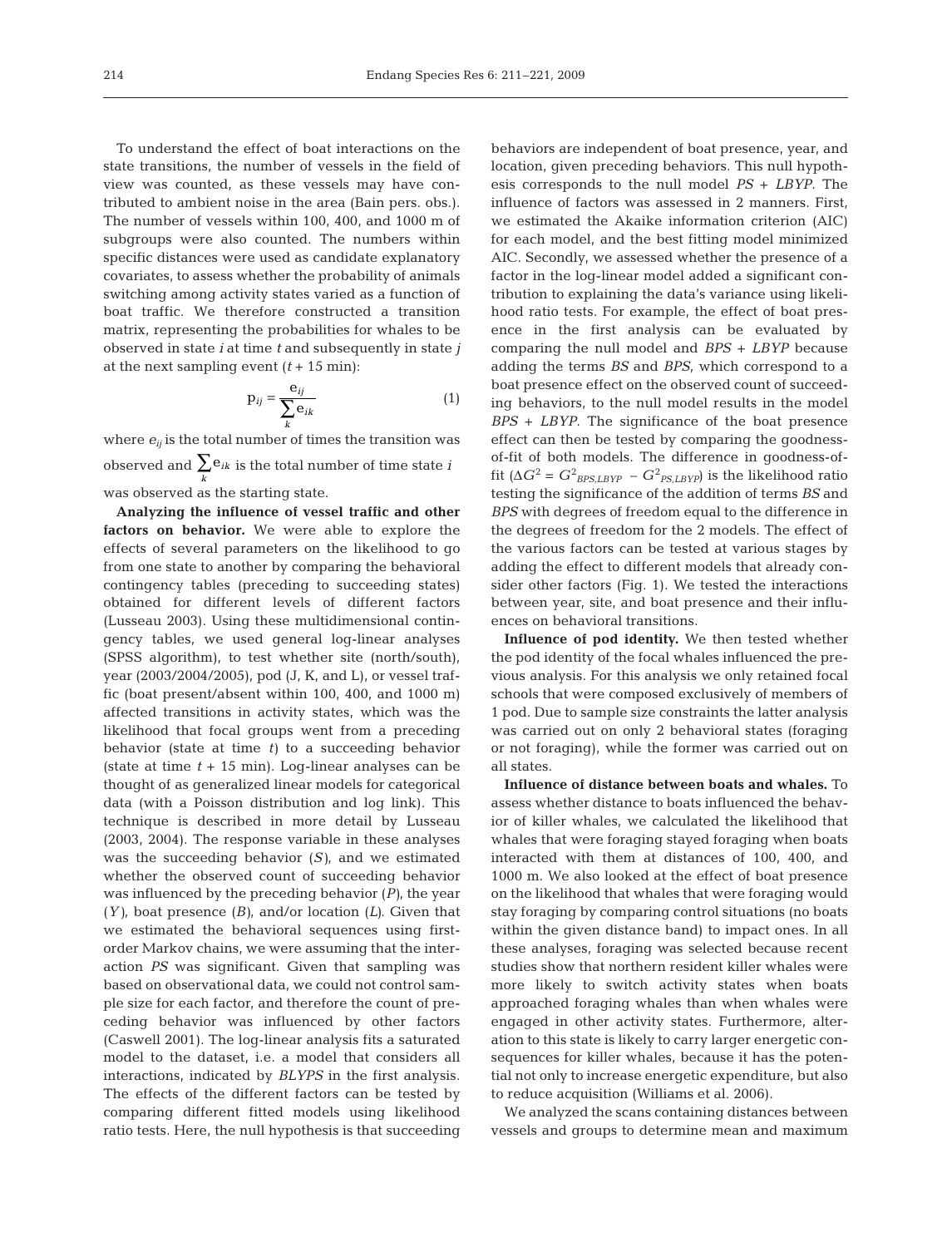To understand the effect of boat interactions on the state transitions, the number of vessels in the field of view was counted, as these vessels may have contributed to ambient noise in the area (Bain pers. obs.). The number of vessels within 100, 400, and 1000 m of subgroups were also counted. The numbers within specific distances were used as candidate explanatory covariates, to assess whether the probability of animals switching among activity states varied as a function of boat traffic. We therefore constructed a transition matrix, representing the probabilities for whales to be observed in state *i* at time *t* and subsequently in state *j* at the next sampling event  $(t + 15 \text{ min})$ :

$$
\mathbf{p}_{ij} = \frac{\mathbf{e}_{ij}}{\sum_{k} \mathbf{e}_{ik}} \tag{1}
$$

where  $e_{ij}$  is the total number of times the transition was observed and  $\sum_k \mathbf{e}_{ik}$  is the total number of time state *i* was observed as the starting state. ∑

**Analyzing the influence of vessel traffic and other factors on behavior.** We were able to explore the effects of several parameters on the likelihood to go from one state to another by comparing the behavioral contingency tables (preceding to succeeding states) obtained for different levels of different factors (Lusseau 2003). Using these multidimensional contingency tables, we used general log-linear analyses (SPSS algorithm), to test whether site (north/south), year (2003/2004/2005), pod (J, K, and L), or vessel traffic (boat present/absent within 100, 400, and 1000 m) affected transitions in activity states, which was the likelihood that focal groups went from a preceding behavior (state at time *t)* to a succeeding behavior (state at time *t* + 15 min). Log-linear analyses can be thought of as generalized linear models for categorical data (with a Poisson distribution and log link). This technique is described in more detail by Lusseau (2003, 2004). The response variable in these analyses was the succeeding behavior (*S)*, and we estimated whether the observed count of succeeding behavior was influenced by the preceding behavior (*P)*, the year (*Y)*, boat presence (*B)*, and/or location (*L)*. Given that we estimated the behavioral sequences using firstorder Markov chains, we were assuming that the interaction *PS* was significant. Given that sampling was based on observational data, we could not control sample size for each factor, and therefore the count of preceding behavior was influenced by other factors (Caswell 2001). The log-linear analysis fits a saturated model to the dataset, i.e. a model that considers all interactions, indicated by *BLYPS* in the first analysis. The effects of the different factors can be tested by comparing different fitted models using likelihood ratio tests. Here, the null hypothesis is that succeeding

behaviors are independent of boat presence, year, and location, given preceding behaviors. This null hypothesis corresponds to the null model *PS* + *LBYP*. The influence of factors was assessed in 2 manners. First, we estimated the Akaike information criterion (AIC) for each model, and the best fitting model minimized AIC. Secondly, we assessed whether the presence of a factor in the log-linear model added a significant contribution to explaining the data's variance using likelihood ratio tests. For example, the effect of boat presence in the first analysis can be evaluated by comparing the null model and *BPS* + *LBYP* because adding the terms *BS* and *BPS*, which correspond to a boat presence effect on the observed count of succeeding behaviors, to the null model results in the model *BPS* + *LBYP*. The significance of the boat presence effect can then be tested by comparing the goodnessof-fit of both models. The difference in goodness-offit ( $\Delta G^2 = G^2_{BPS, LBYP} - G^2_{PS, LBYP}$ ) is the likelihood ratio testing the significance of the addition of terms *BS* and *BPS* with degrees of freedom equal to the difference in the degrees of freedom for the 2 models. The effect of the various factors can be tested at various stages by adding the effect to different models that already consider other factors (Fig. 1). We tested the interactions between year, site, and boat presence and their influences on behavioral transitions.

**Influence of pod identity.** We then tested whether the pod identity of the focal whales influenced the previous analysis. For this analysis we only retained focal schools that were composed exclusively of members of 1 pod. Due to sample size constraints the latter analysis was carried out on only 2 behavioral states (foraging or not foraging), while the former was carried out on all states.

**Influence of distance between boats and whales.** To assess whether distance to boats influenced the behavior of killer whales, we calculated the likelihood that whales that were foraging stayed foraging when boats interacted with them at distances of 100, 400, and 1000 m. We also looked at the effect of boat presence on the likelihood that whales that were foraging would stay foraging by comparing control situations (no boats within the given distance band) to impact ones. In all these analyses, foraging was selected because recent studies show that northern resident killer whales were more likely to switch activity states when boats approached foraging whales than when whales were engaged in other activity states. Furthermore, alteration to this state is likely to carry larger energetic consequences for killer whales, because it has the potential not only to increase energetic expenditure, but also to reduce acquisition (Williams et al. 2006).

We analyzed the scans containing distances between vessels and groups to determine mean and maximum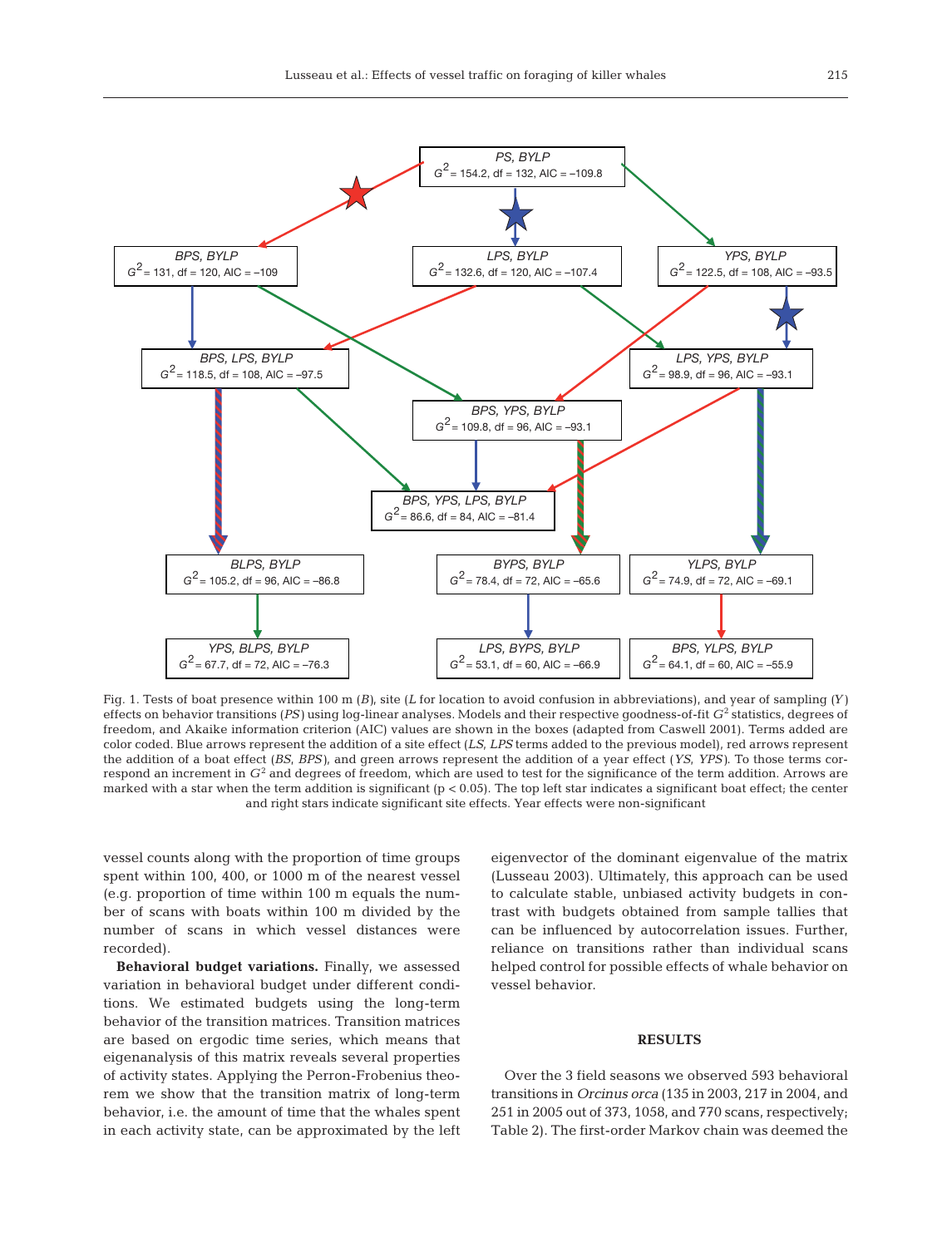

Fig. 1. Tests of boat presence within 100 m (*B)*, site (*L* for location to avoid confusion in abbreviations), and year of sampling *(Y)* effects on behavior transitions (*PS*) using log-linear analyses. Models and their respective goodness-of-fit *G*<sup>2</sup> statistics, degrees of freedom, and Akaike information criterion (AIC) values are shown in the boxes (adapted from Caswell 2001). Terms added are color coded. Blue arrows represent the addition of a site effect (*LS*, *LPS* terms added to the previous model), red arrows represent the addition of a boat effect (*BS*, *BPS)*, and green arrows represent the addition of a year effect (*YS*, *YPS)*. To those terms correspond an increment in *G*<sup>2</sup> and degrees of freedom, which are used to test for the significance of the term addition. Arrows are marked with a star when the term addition is significant (p < 0.05). The top left star indicates a significant boat effect; the center and right stars indicate significant site effects. Year effects were non-significant

vessel counts along with the proportion of time groups spent within 100, 400, or 1000 m of the nearest vessel (e.g. proportion of time within 100 m equals the number of scans with boats within 100 m divided by the number of scans in which vessel distances were recorded).

**Behavioral budget variations.** Finally, we assessed variation in behavioral budget under different conditions. We estimated budgets using the long-term behavior of the transition matrices. Transition matrices are based on ergodic time series, which means that eigenanalysis of this matrix reveals several properties of activity states. Applying the Perron-Frobenius theorem we show that the transition matrix of long-term behavior, i.e. the amount of time that the whales spent in each activity state, can be approximated by the left

eigenvector of the dominant eigenvalue of the matrix (Lusseau 2003). Ultimately, this approach can be used to calculate stable, unbiased activity budgets in contrast with budgets obtained from sample tallies that can be influenced by autocorrelation issues. Further, reliance on transitions rather than individual scans helped control for possible effects of whale behavior on vessel behavior.

#### **RESULTS**

Over the 3 field seasons we observed 593 behavioral transitions in *Orcinus orca* (135 in 2003, 217 in 2004, and 251 in 2005 out of 373, 1058, and 770 scans, respectively; Table 2). The first-order Markov chain was deemed the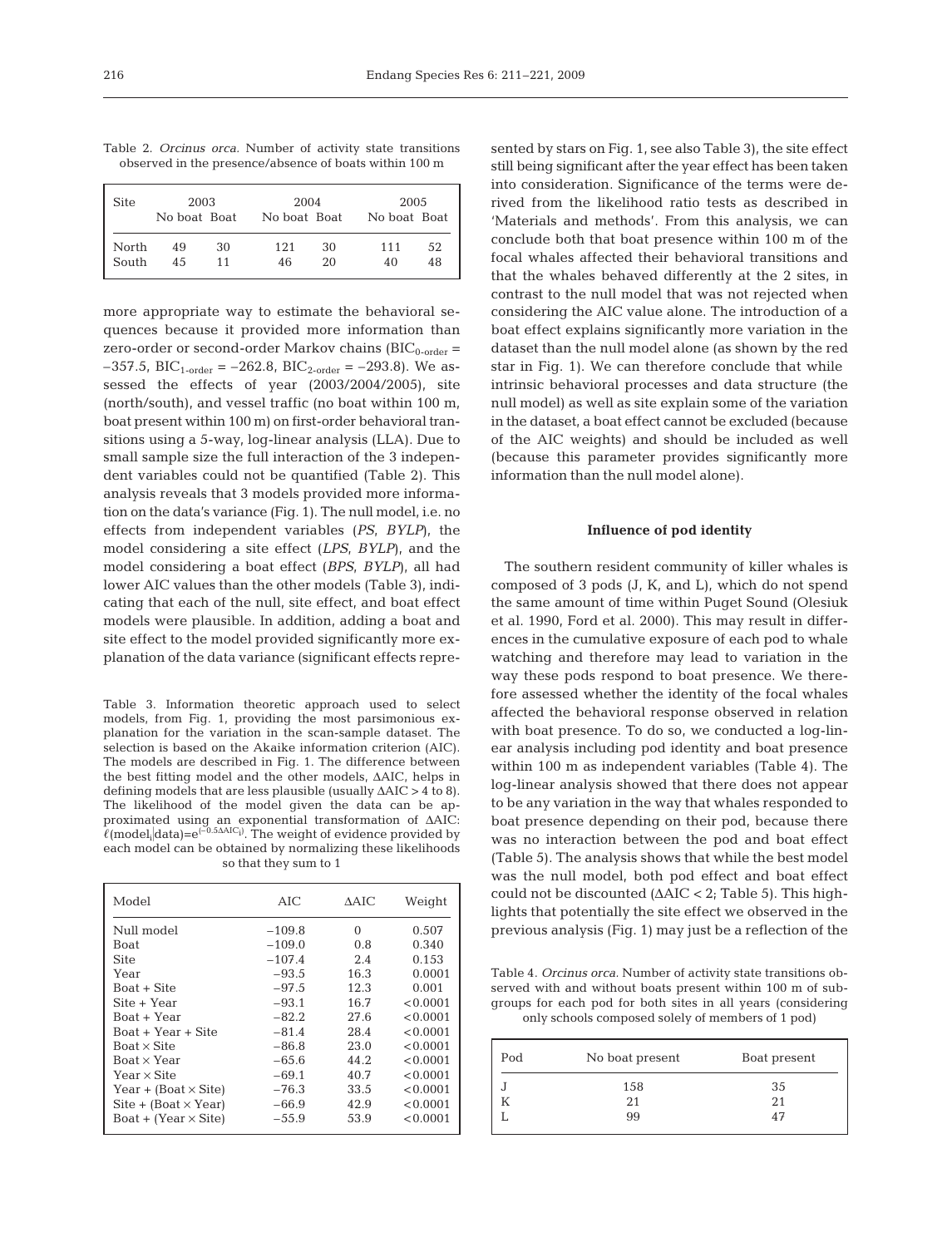|  |  |                                                        |  | Table 2. Orcinus orca. Number of activity state transitions |
|--|--|--------------------------------------------------------|--|-------------------------------------------------------------|
|  |  | observed in the presence/absence of boats within 100 m |  |                                                             |

| <b>Site</b> | 2003         |    | 2004         |    | 2005         |    |
|-------------|--------------|----|--------------|----|--------------|----|
|             | No boat Boat |    | No boat Boat |    | No boat Boat |    |
| North       | 49           | 30 | 121          | 30 | 111          | 52 |
| South       | 45           | 11 | 46           | 20 | 40           | 48 |

more appropriate way to estimate the behavioral sequences because it provided more information than zero-order or second-order Markov chains  $(BIC_{0\text{-order}} =$  $-357.5$ , BIC<sub>1-order</sub> =  $-262.8$ , BIC<sub>2-order</sub> =  $-293.8$ ). We assessed the effects of year (2003/2004/2005), site (north/south), and vessel traffic (no boat within 100 m, boat present within 100 m) on first-order behavioral transitions using a 5-way, log-linear analysis (LLA). Due to small sample size the full interaction of the 3 independent variables could not be quantified (Table 2). This analysis reveals that 3 models provided more information on the data's variance (Fig. 1). The null model, i.e. no effects from independent variables (*PS*, *BYLP*), the model considering a site effect (*LPS*, *BYLP*), and the model considering a boat effect (*BPS*, *BYLP*), all had lower AIC values than the other models (Table 3), indicating that each of the null, site effect, and boat effect models were plausible. In addition, adding a boat and site effect to the model provided significantly more explanation of the data variance (significant effects repre-

Table 3. Information theoretic approach used to select models, from Fig. 1, providing the most parsimonious explanation for the variation in the scan-sample dataset. The selection is based on the Akaike information criterion (AIC). The models are described in Fig. 1. The difference between the best fitting model and the other models, ΔAIC, helps in defining models that are less plausible (usually ΔAIC > 4 to 8). The likelihood of the model given the data can be approximated using an exponential transformation of ΔAIC:  $\hat{\ell}(\text{model}_{i}|\text{data})\text{=}e^{(\text{-0.5A AIC}_{i})}.$  The weight of evidence provided by each model can be obtained by normalizing these likelihoods so that they sum to 1

| Model                        | AIC      | AAIC | Weight   |
|------------------------------|----------|------|----------|
| Null model                   | $-109.8$ | 0    | 0.507    |
| <b>Boat</b>                  | $-109.0$ | 0.8  | 0.340    |
| Site                         | $-107.4$ | 2.4  | 0.153    |
| Year                         | $-93.5$  | 16.3 | 0.0001   |
| Boat + Site                  | $-97.5$  | 12.3 | 0.001    |
| Site + Year                  | $-93.1$  | 16.7 | < 0.0001 |
| Boat + Year                  | $-82.2$  | 27.6 | < 0.0001 |
| Boat + Year + Site           | $-81.4$  | 28.4 | < 0.0001 |
| Boat $\times$ Site           | $-86.8$  | 23.0 | < 0.0001 |
| Boat x Year                  | -65.6    | 44.2 | < 0.0001 |
| Year $\times$ Site           | $-69.1$  | 40.7 | < 0.0001 |
| Year + (Boat $\times$ Site)  | -76.3    | 33.5 | < 0.0001 |
| $Site + (Boat \times Year)$  | -66.9    | 42.9 | < 0.0001 |
| $Board + (Year \times Site)$ | $-55.9$  | 53.9 | < 0.0001 |

sented by stars on Fig. 1, see also Table 3), the site effect still being significant after the year effect has been taken into consideration. Significance of the terms were derived from the likelihood ratio tests as described in 'Materials and methods'. From this analysis, we can conclude both that boat presence within 100 m of the focal whales affected their behavioral transitions and that the whales behaved differently at the 2 sites, in contrast to the null model that was not rejected when considering the AIC value alone. The introduction of a boat effect explains significantly more variation in the dataset than the null model alone (as shown by the red star in Fig. 1). We can therefore conclude that while intrinsic behavioral processes and data structure (the null model) as well as site explain some of the variation in the dataset, a boat effect cannot be excluded (because of the AIC weights) and should be included as well (because this parameter provides significantly more information than the null model alone).

# **Influence of pod identity**

The southern resident community of killer whales is composed of 3 pods (J, K, and L), which do not spend the same amount of time within Puget Sound (Olesiuk et al. 1990, Ford et al. 2000). This may result in differences in the cumulative exposure of each pod to whale watching and therefore may lead to variation in the way these pods respond to boat presence. We therefore assessed whether the identity of the focal whales affected the behavioral response observed in relation with boat presence. To do so, we conducted a log-linear analysis including pod identity and boat presence within 100 m as independent variables (Table 4). The log-linear analysis showed that there does not appear to be any variation in the way that whales responded to boat presence depending on their pod, because there was no interaction between the pod and boat effect (Table 5). The analysis shows that while the best model was the null model, both pod effect and boat effect could not be discounted (ΔAIC < 2; Table 5). This highlights that potentially the site effect we observed in the previous analysis (Fig. 1) may just be a reflection of the

Table 4. *Orcinus orca.* Number of activity state transitions observed with and without boats present within 100 m of subgroups for each pod for both sites in all years (considering only schools composed solely of members of 1 pod)

| Pod | No boat present | Boat present |  |
|-----|-----------------|--------------|--|
|     | 158             | 35           |  |
|     | 21              | 2.1          |  |
|     | 99              | 47           |  |
|     |                 |              |  |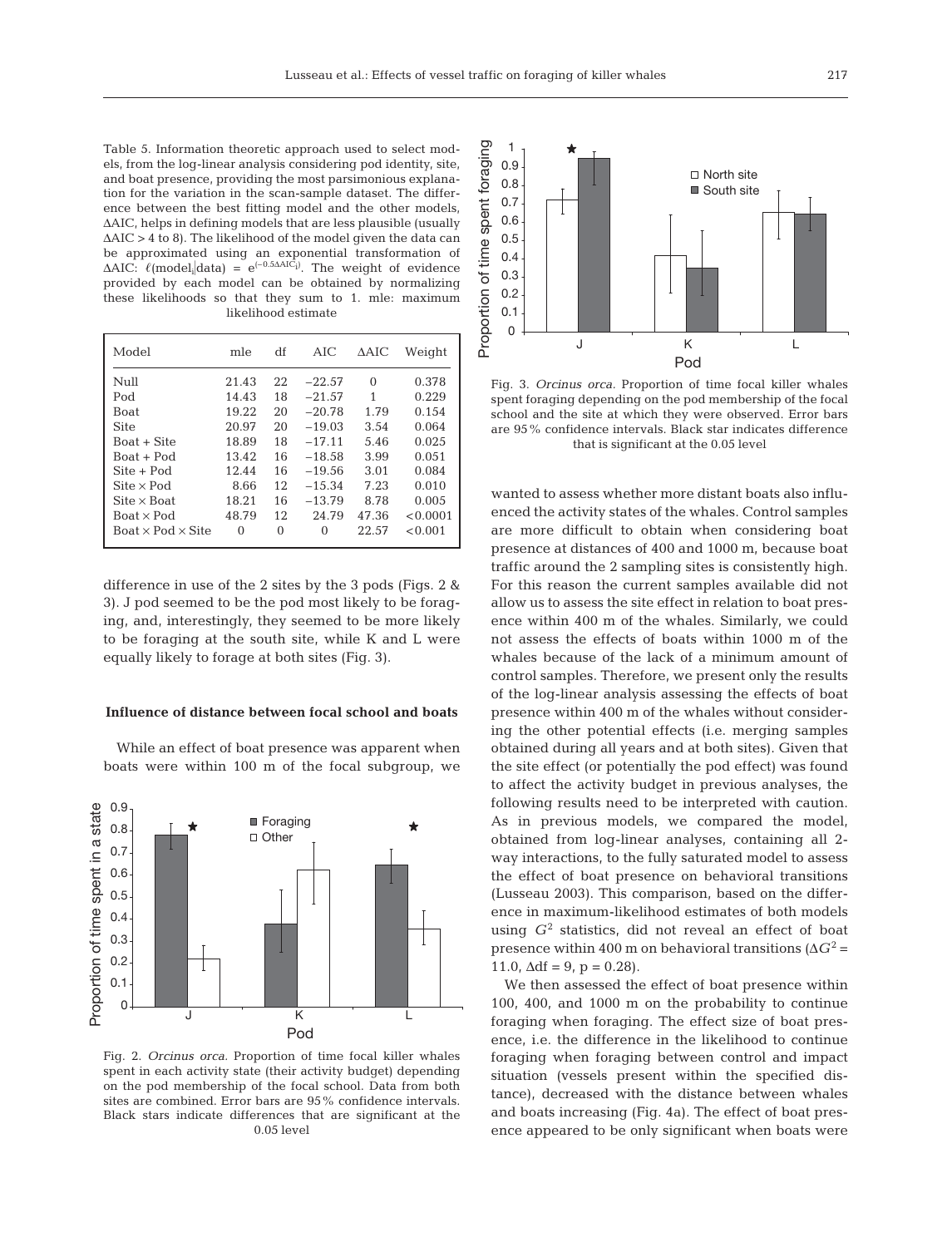Table 5. Information theoretic approach used to select models, from the log-linear analysis considering pod identity, site, and boat presence, providing the most parsimonious explanation for the variation in the scan-sample dataset. The difference between the best fitting model and the other models, ΔAIC, helps in defining models that are less plausible (usually  $\Delta AIC > 4$  to 8). The likelihood of the model given the data can be approximated using an exponential transformation of  $\triangle AIC: \ell (model_i|data) = e^{(-0.5\triangle AIC_i)}$ . The weight of evidence provided by each model can be obtained by normalizing these likelihoods so that they sum to 1. mle: maximum likelihood estimate

| Model                            | mle   | df | AIC      | ΔAIC     | Weight   |
|----------------------------------|-------|----|----------|----------|----------|
| Null                             | 21.43 | 22 | $-22.57$ | $\Omega$ | 0.378    |
| Pod                              | 14.43 | 18 | $-21.57$ | 1        | 0.229    |
| <b>Boat</b>                      | 19.22 | 20 | $-20.78$ | 1.79     | 0.154    |
| <b>Site</b>                      | 20.97 | 20 | $-19.03$ | 3.54     | 0.064    |
| Boat + Site                      | 18.89 | 18 | $-17.11$ | 5.46     | 0.025    |
| Boat + Pod                       | 13.42 | 16 | $-18.58$ | 3.99     | 0.051    |
| $Site + Pod$                     | 12.44 | 16 | $-19.56$ | 3.01     | 0.084    |
| $\text{Site} \times \text{Pod}$  | 8.66  | 12 | $-15.34$ | 7.23     | 0.010    |
| $\text{Site} \times \text{Boat}$ | 18.21 | 16 | $-13.79$ | 8.78     | 0.005    |
| $Board \times Pod$               | 48.79 | 12 | 24.79    | 47.36    | < 0.0001 |
| Boat $\times$ Pod $\times$ Site  | 0     | 0  | $\Omega$ | 22.57    | < 0.001  |
|                                  |       |    |          |          |          |

difference in use of the 2 sites by the 3 pods (Figs. 2 & 3). J pod seemed to be the pod most likely to be foraging, and, interestingly, they seemed to be more likely to be foraging at the south site, while K and L were equally likely to forage at both sites (Fig. 3).

#### **Influence of distance between focal school and boats**

While an effect of boat presence was apparent when boats were within 100 m of the focal subgroup, we



Fig. 2. *Orcinus orca.* Proportion of time focal killer whales spent in each activity state (their activity budget) depending on the pod membership of the focal school. Data from both sites are combined. Error bars are 95% confidence intervals. Black stars indicate differences that are significant at the 0.05 level



Fig. 3. *Orcinus orca.* Proportion of time focal killer whales spent foraging depending on the pod membership of the focal school and the site at which they were observed. Error bars are 95% confidence intervals. Black star indicates difference that is significant at the 0.05 level

wanted to assess whether more distant boats also influenced the activity states of the whales. Control samples are more difficult to obtain when considering boat presence at distances of 400 and 1000 m, because boat traffic around the 2 sampling sites is consistently high. For this reason the current samples available did not allow us to assess the site effect in relation to boat presence within 400 m of the whales. Similarly, we could not assess the effects of boats within 1000 m of the whales because of the lack of a minimum amount of control samples. Therefore, we present only the results of the log-linear analysis assessing the effects of boat presence within 400 m of the whales without considering the other potential effects (i.e. merging samples obtained during all years and at both sites). Given that the site effect (or potentially the pod effect) was found to affect the activity budget in previous analyses, the following results need to be interpreted with caution. As in previous models, we compared the model, obtained from log-linear analyses, containing all 2 way interactions, to the fully saturated model to assess the effect of boat presence on behavioral transitions (Lusseau 2003). This comparison, based on the difference in maximum-likelihood estimates of both models using *G*<sup>2</sup> statistics, did not reveal an effect of boat presence within 400 m on behavioral transitions  $(\Delta G^2 =$ 11.0,  $\Delta df = 9$ ,  $p = 0.28$ ).

We then assessed the effect of boat presence within 100, 400, and 1000 m on the probability to continue foraging when foraging. The effect size of boat presence, i.e. the difference in the likelihood to continue foraging when foraging between control and impact situation (vessels present within the specified distance), decreased with the distance between whales and boats increasing (Fig. 4a). The effect of boat presence appeared to be only significant when boats were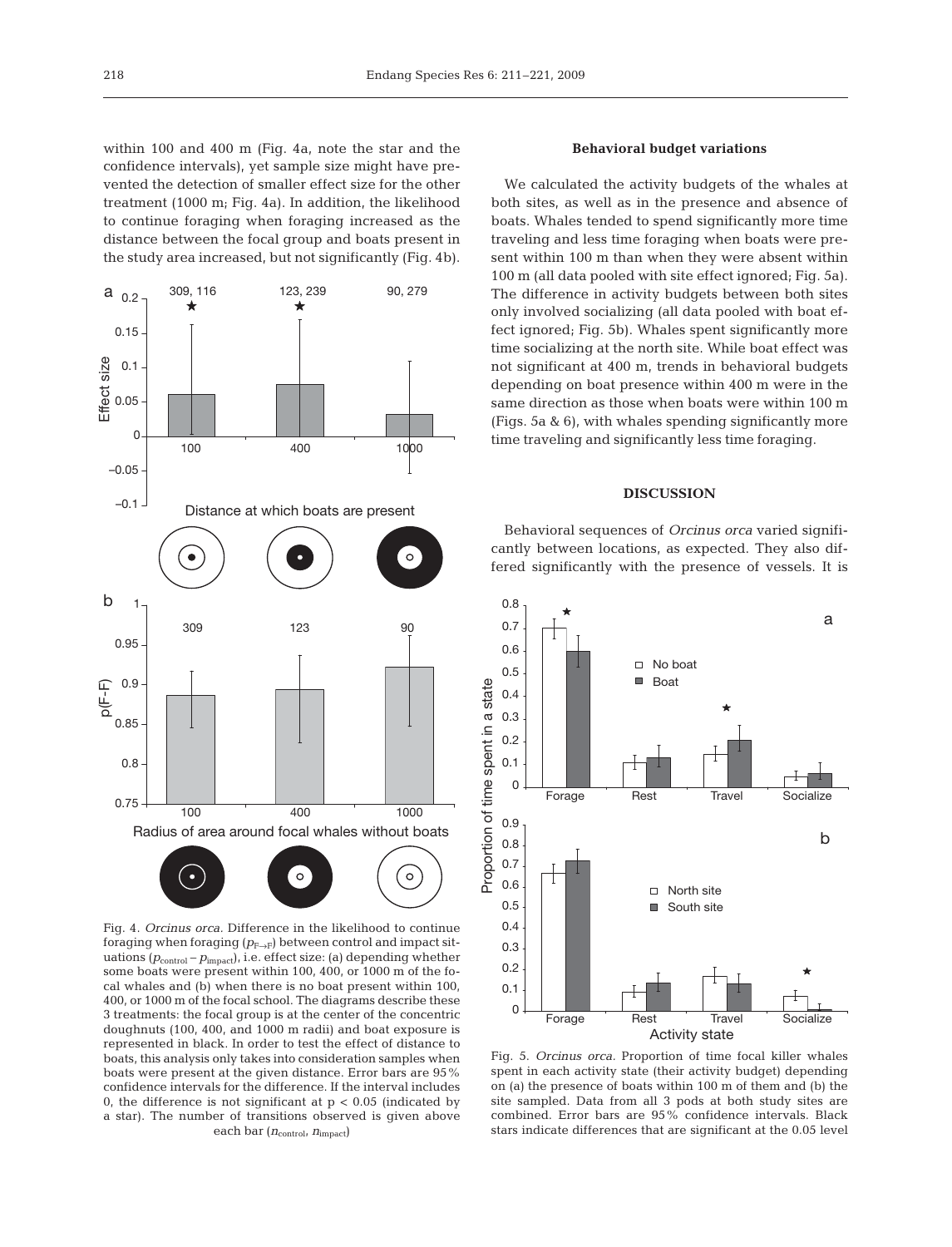within 100 and 400 m (Fig. 4a, note the star and the confidence intervals), yet sample size might have prevented the detection of smaller effect size for the other treatment (1000 m; Fig. 4a). In addition, the likelihood to continue foraging when foraging increased as the distance between the focal group and boats present in the study area increased, but not significantly (Fig. 4b).



Fig. 4. *Orcinus orca.* Difference in the likelihood to continue foraging when foraging  $(p_{F\rightarrow F})$  between control and impact situations ( $p_{\text{control}} - p_{\text{impact}}$ ), i.e. effect size: (a) depending whether some boats were present within 100, 400, or 1000 m of the focal whales and (b) when there is no boat present within 100, 400, or 1000 m of the focal school. The diagrams describe these 3 treatments: the focal group is at the center of the concentric doughnuts (100, 400, and 1000 m radii) and boat exposure is represented in black. In order to test the effect of distance to boats, this analysis only takes into consideration samples when boats were present at the given distance. Error bars are 95% confidence intervals for the difference. If the interval includes 0, the difference is not significant at  $p < 0.05$  (indicated by a star). The number of transitions observed is given above each bar ( $n_{\text{control}}$ ,  $n_{\text{impact}}$ )

## **Behavioral budget variations**

We calculated the activity budgets of the whales at both sites, as well as in the presence and absence of boats. Whales tended to spend significantly more time traveling and less time foraging when boats were present within 100 m than when they were absent within 100 m (all data pooled with site effect ignored; Fig. 5a). The difference in activity budgets between both sites only involved socializing (all data pooled with boat effect ignored; Fig. 5b). Whales spent significantly more time socializing at the north site. While boat effect was not significant at 400 m, trends in behavioral budgets depending on boat presence within 400 m were in the same direction as those when boats were within 100 m (Figs. 5a & 6), with whales spending significantly more time traveling and significantly less time foraging.

#### **DISCUSSION**

Behavioral sequences of *Orcinus orca* varied significantly between locations, as expected. They also differed significantly with the presence of vessels. It is



Fig. 5. *Orcinus orca.* Proportion of time focal killer whales spent in each activity state (their activity budget) depending on (a) the presence of boats within 100 m of them and (b) the site sampled. Data from all 3 pods at both study sites are combined. Error bars are 95% confidence intervals. Black stars indicate differences that are significant at the 0.05 level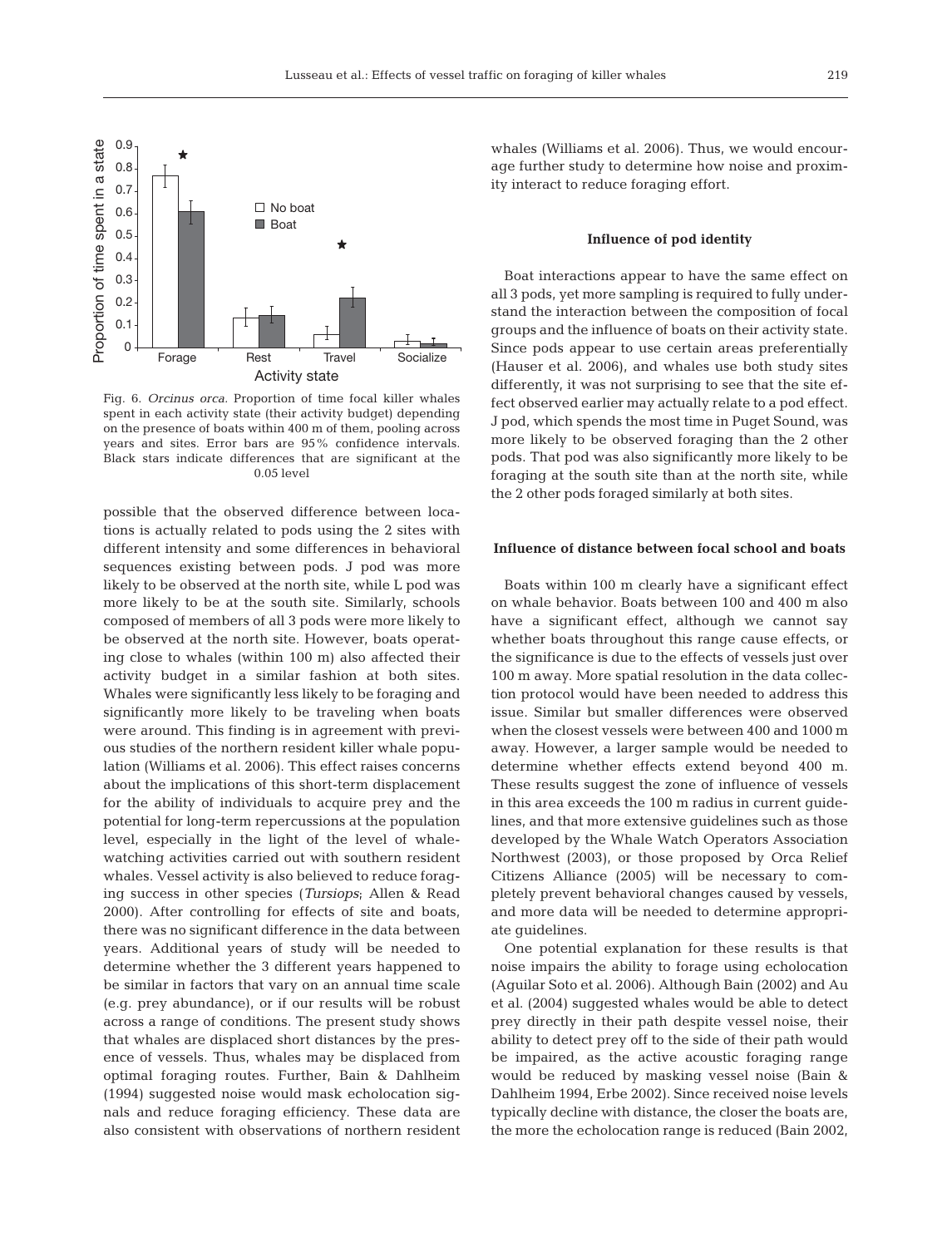

Fig. 6. *Orcinus orca.* Proportion of time focal killer whales spent in each activity state (their activity budget) depending on the presence of boats within 400 m of them, pooling across years and sites. Error bars are 95% confidence intervals. Black stars indicate differences that are significant at the 0.05 level

possible that the observed difference between locations is actually related to pods using the 2 sites with different intensity and some differences in behavioral sequences existing between pods. J pod was more likely to be observed at the north site, while L pod was more likely to be at the south site. Similarly, schools composed of members of all 3 pods were more likely to be observed at the north site. However, boats operating close to whales (within 100 m) also affected their activity budget in a similar fashion at both sites. Whales were significantly less likely to be foraging and significantly more likely to be traveling when boats were around. This finding is in agreement with previous studies of the northern resident killer whale population (Williams et al. 2006). This effect raises concerns about the implications of this short-term displacement for the ability of individuals to acquire prey and the potential for long-term repercussions at the population level, especially in the light of the level of whalewatching activities carried out with southern resident whales. Vessel activity is also believed to reduce foraging success in other species (*Tursiops*; Allen & Read 2000). After controlling for effects of site and boats, there was no significant difference in the data between years. Additional years of study will be needed to determine whether the 3 different years happened to be similar in factors that vary on an annual time scale (e.g. prey abundance), or if our results will be robust across a range of conditions. The present study shows that whales are displaced short distances by the presence of vessels. Thus, whales may be displaced from optimal foraging routes. Further, Bain & Dahlheim (1994) suggested noise would mask echolocation signals and reduce foraging efficiency. These data are also consistent with observations of northern resident whales (Williams et al. 2006). Thus, we would encourage further study to determine how noise and proximity interact to reduce foraging effort.

#### **Influence of pod identity**

Boat interactions appear to have the same effect on all 3 pods, yet more sampling is required to fully understand the interaction between the composition of focal groups and the influence of boats on their activity state. Since pods appear to use certain areas preferentially (Hauser et al. 2006), and whales use both study sites differently, it was not surprising to see that the site effect observed earlier may actually relate to a pod effect. J pod, which spends the most time in Puget Sound, was more likely to be observed foraging than the 2 other pods. That pod was also significantly more likely to be foraging at the south site than at the north site, while the 2 other pods foraged similarly at both sites.

#### **Influence of distance between focal school and boats**

Boats within 100 m clearly have a significant effect on whale behavior. Boats between 100 and 400 m also have a significant effect, although we cannot say whether boats throughout this range cause effects, or the significance is due to the effects of vessels just over 100 m away. More spatial resolution in the data collection protocol would have been needed to address this issue. Similar but smaller differences were observed when the closest vessels were between 400 and 1000 m away. However, a larger sample would be needed to determine whether effects extend beyond 400 m. These results suggest the zone of influence of vessels in this area exceeds the 100 m radius in current guidelines, and that more extensive guidelines such as those developed by the Whale Watch Operators Association Northwest (2003), or those proposed by Orca Relief Citizens Alliance (2005) will be necessary to completely prevent behavioral changes caused by vessels, and more data will be needed to determine appropriate guidelines.

One potential explanation for these results is that noise impairs the ability to forage using echolocation (Aguilar Soto et al. 2006). Although Bain (2002) and Au et al. (2004) suggested whales would be able to detect prey directly in their path despite vessel noise, their ability to detect prey off to the side of their path would be impaired, as the active acoustic foraging range would be reduced by masking vessel noise (Bain & Dahlheim 1994, Erbe 2002). Since received noise levels typically decline with distance, the closer the boats are, the more the echolocation range is reduced (Bain 2002,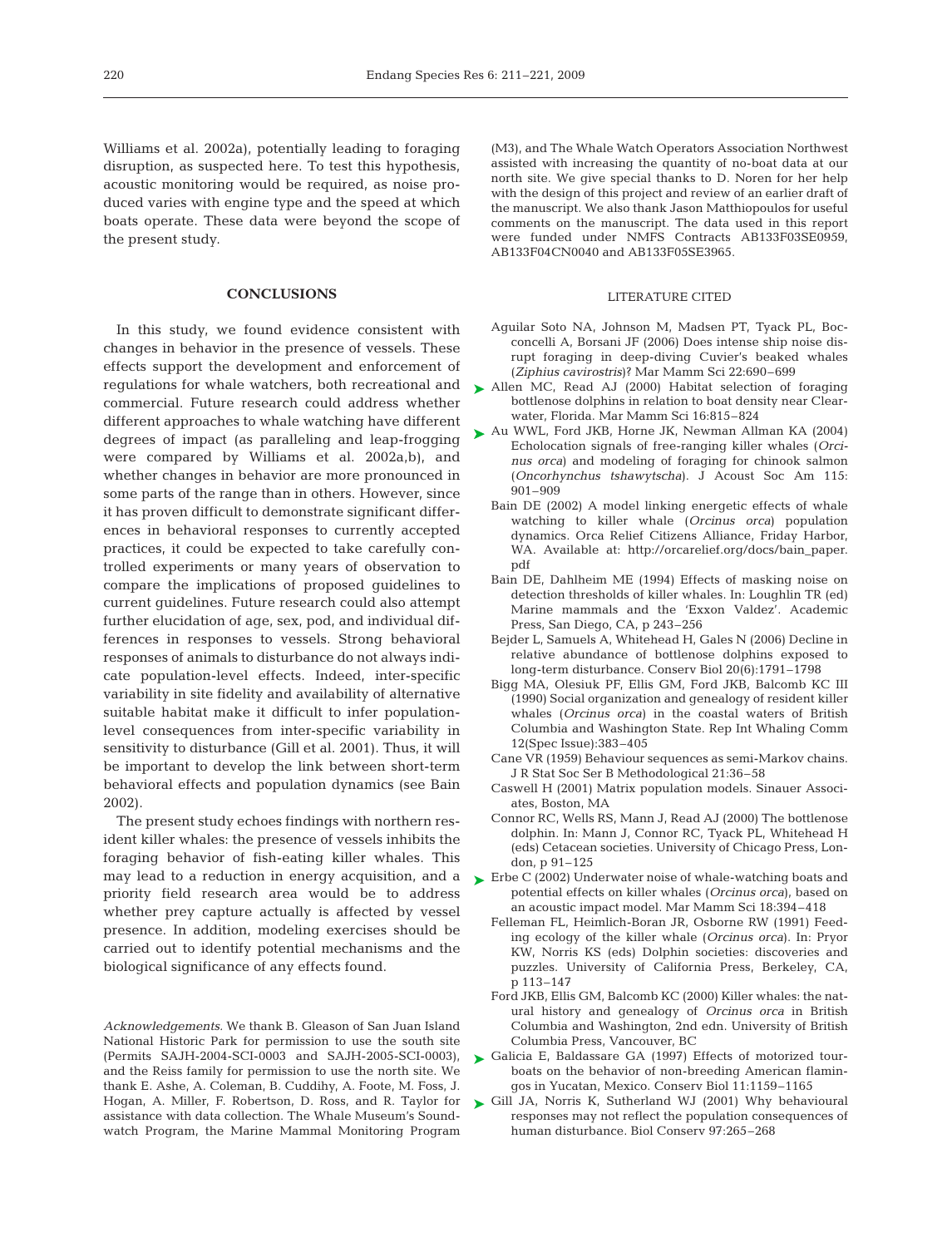Williams et al. 2002a), potentially leading to foraging disruption, as suspected here. To test this hypothesis, acoustic monitoring would be required, as noise produced varies with engine type and the speed at which boats operate. These data were beyond the scope of the present study.

#### **CONCLUSIONS**

In this study, we found evidence consistent with changes in behavior in the presence of vessels. These effects support the development and enforcement of regulations for whale watchers, both recreational and Allen MC, Read AJ (2000) Habitat selection of foraging commercial. Future research could address whether different approaches to whale watching have different degrees of impact (as paralleling and leap-frogging were compared by Williams et al. 2002a,b), and whether changes in behavior are more pronounced in some parts of the range than in others. However, since it has proven difficult to demonstrate significant differences in behavioral responses to currently accepted practices, it could be expected to take carefully controlled experiments or many years of observation to compare the implications of proposed guidelines to current guidelines. Future research could also attempt further elucidation of age, sex, pod, and individual differences in responses to vessels. Strong behavioral responses of animals to disturbance do not always indicate population-level effects. Indeed, inter-specific variability in site fidelity and availability of alternative suitable habitat make it difficult to infer populationlevel consequences from inter-specific variability in sensitivity to disturbance (Gill et al. 2001). Thus, it will be important to develop the link between short-term behavioral effects and population dynamics (see Bain 2002).

The present study echoes findings with northern resident killer whales: the presence of vessels inhibits the foraging behavior of fish-eating killer whales. This may lead to a reduction in energy acquisition, and a  $\quadblacktriangleright$  Erbe C (2002) Underwater noise of whale-watching boats and priority field research area would be to address whether prey capture actually is affected by vessel presence. In addition, modeling exercises should be carried out to identify potential mechanisms and the biological significance of any effects found.

*Acknowledgements.* We thank B. Gleason of San Juan Island National Historic Park for permission to use the south site (Permits SAJH-2004-SCI-0003 and SAJH-2005-SCI-0003), and the Reiss family for permission to use the north site. We thank E. Ashe, A. Coleman, B. Cuddihy, A. Foote, M. Foss, J. Hogan, A. Miller, F. Robertson, D. Ross, and R. Taylor for assistance with data collection. The Whale Museum's Soundwatch Program, the Marine Mammal Monitoring Program

(M3), and The Whale Watch Operators Association Northwest assisted with increasing the quantity of no-boat data at our north site. We give special thanks to D. Noren for her help with the design of this project and review of an earlier draft of the manuscript. We also thank Jason Matthiopoulos for useful comments on the manuscript. The data used in this report were funded under NMFS Contracts AB133F03SE0959, AB133F04CN0040 and AB133F05SE3965.

#### LITERATURE CITED

- Aguilar Soto NA, Johnson M, Madsen PT, Tyack PL, Bocconcelli A, Borsani JF (2006) Does intense ship noise disrupt foraging in deep-diving Cuvier's beaked whales (*Ziphius cavirostris*)? Mar Mamm Sci 22:690–699
- bottlenose dolphins in relation to boat density near Clearwater, Florida. Mar Mamm Sci 16:815–824
- ▶ Au WWL, Ford JKB, Horne JK, Newman Allman KA (2004) Echolocation signals of free-ranging killer whales (*Orcinus orca*) and modeling of foraging for chinook salmon (*Oncorhynchus tshawytscha*). J Acoust Soc Am 115: 901–909
	- Bain DE (2002) A model linking energetic effects of whale watching to killer whale (*Orcinus orca*) population dynamics. Orca Relief Citizens Alliance, Friday Harbor, WA. Available at: http://orcarelief.org/docs/bain\_paper. pdf
	- Bain DE, Dahlheim ME (1994) Effects of masking noise on detection thresholds of killer whales. In: Loughlin TR (ed) Marine mammals and the 'Exxon Valdez'. Academic Press, San Diego, CA, p 243–256
	- Bejder L, Samuels A, Whitehead H, Gales N (2006) Decline in relative abundance of bottlenose dolphins exposed to long-term disturbance. Conserv Biol 20(6):1791–1798
	- Bigg MA, Olesiuk PF, Ellis GM, Ford JKB, Balcomb KC III (1990) Social organization and genealogy of resident killer whales (*Orcinus orca*) in the coastal waters of British Columbia and Washington State. Rep Int Whaling Comm 12(Spec Issue):383–405
	- Cane VR (1959) Behaviour sequences as semi-Markov chains. J R Stat Soc Ser B Methodological 21:36–58
	- Caswell H (2001) Matrix population models. Sinauer Associates, Boston, MA
	- Connor RC, Wells RS, Mann J, Read AJ (2000) The bottlenose dolphin. In: Mann J, Connor RC, Tyack PL, Whitehead H (eds) Cetacean societies. University of Chicago Press, London, p 91–125
	- potential effects on killer whales (*Orcinus orca*), based on an acoustic impact model. Mar Mamm Sci 18:394–418
	- Felleman FL, Heimlich-Boran JR, Osborne RW (1991) Feeding ecology of the killer whale (*Orcinus orca*). In: Pryor KW, Norris KS (eds) Dolphin societies: discoveries and puzzles. University of California Press, Berkeley, CA, p 113–147
	- Ford JKB, Ellis GM, Balcomb KC (2000) Killer whales: the natural history and genealogy of *Orcinus orca* in British Columbia and Washington, 2nd edn. University of British Columbia Press, Vancouver, BC
- ▶ Galicia E, Baldassare GA (1997) Effects of motorized tourboats on the behavior of non-breeding American flamingos in Yucatan, Mexico. Conserv Biol 11:1159–1165
- ► Gill JA, Norris K, Sutherland WJ (2001) Why behavioural responses may not reflect the population consequences of human disturbance. Biol Conserv 97:265–268